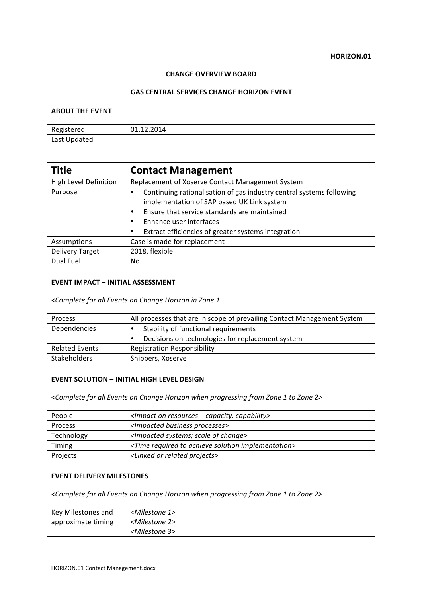#### **HORIZON.01**

### **CHANGE OVERVIEW BOARD**

### **GAS CENTRAL SERVICES CHANGE HORIZON EVENT**

### **ABOUT THE EVENT**

| Registered   | 01.12.2014 |
|--------------|------------|
| Last Updated |            |

| <b>Title</b>           | <b>Contact Management</b>                                                                                          |
|------------------------|--------------------------------------------------------------------------------------------------------------------|
| High Level Definition  | Replacement of Xoserve Contact Management System                                                                   |
| Purpose                | Continuing rationalisation of gas industry central systems following<br>implementation of SAP based UK Link system |
|                        | Ensure that service standards are maintained<br>٠                                                                  |
|                        | Enhance user interfaces                                                                                            |
|                        | Extract efficiencies of greater systems integration                                                                |
| Assumptions            | Case is made for replacement                                                                                       |
| <b>Delivery Target</b> | 2018, flexible                                                                                                     |
| Dual Fuel              | No.                                                                                                                |

### **EVENT IMPACT – INITIAL ASSESSMENT**

*<Complete for all Events on Change Horizon in Zone 1*

| Process               | All processes that are in scope of prevailing Contact Management System |
|-----------------------|-------------------------------------------------------------------------|
| Dependencies          | Stability of functional requirements                                    |
|                       | Decisions on technologies for replacement system                        |
| <b>Related Events</b> | <b>Registration Responsibility</b>                                      |
| <b>Stakeholders</b>   | Shippers, Xoserve                                                       |

## **EVENT SOLUTION - INITIAL HIGH LEVEL DESIGN**

<Complete for all Events on Change Horizon when progressing from Zone 1 to Zone 2>

| People         | $\leq$ Impact on resources – capacity, capability>                       |
|----------------|--------------------------------------------------------------------------|
| <b>Process</b> | <impacted business="" processes=""></impacted>                           |
| Technology     | <impacted change="" of="" scale="" systems;=""></impacted>               |
| Timing         | <time achieve="" implementation="" required="" solution="" to=""></time> |
| Projects       | <linked or="" projects="" related=""></linked>                           |

#### **EVENT DELIVERY MILESTONES**

<Complete for all Events on Change Horizon when progressing from Zone 1 to Zone 2>

| Key Milestones and | <milestone 1=""></milestone> |
|--------------------|------------------------------|
| approximate timing | <milestone 2=""></milestone> |
|                    | <milestone 3=""></milestone> |